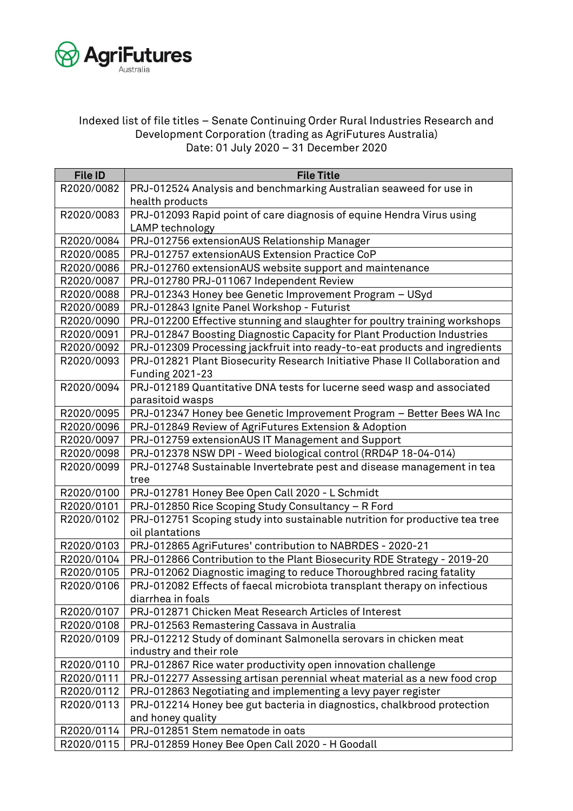

## Indexed list of file titles – Senate Continuing Order Rural Industries Research and Development Corporation (trading as AgriFutures Australia) Date: 01 July 2020 – 31 December 2020

| <b>File ID</b> | <b>File Title</b>                                                           |
|----------------|-----------------------------------------------------------------------------|
| R2020/0082     | PRJ-012524 Analysis and benchmarking Australian seaweed for use in          |
|                | health products                                                             |
| R2020/0083     | PRJ-012093 Rapid point of care diagnosis of equine Hendra Virus using       |
|                | LAMP technology                                                             |
| R2020/0084     | PRJ-012756 extensionAUS Relationship Manager                                |
| R2020/0085     | PRJ-012757 extensionAUS Extension Practice CoP                              |
| R2020/0086     | PRJ-012760 extensionAUS website support and maintenance                     |
| R2020/0087     | PRJ-012780 PRJ-011067 Independent Review                                    |
| R2020/0088     | PRJ-012343 Honey bee Genetic Improvement Program - USyd                     |
| R2020/0089     | PRJ-012843 Ignite Panel Workshop - Futurist                                 |
| R2020/0090     | PRJ-012200 Effective stunning and slaughter for poultry training workshops  |
| R2020/0091     | PRJ-012847 Boosting Diagnostic Capacity for Plant Production Industries     |
| R2020/0092     | PRJ-012309 Processing jackfruit into ready-to-eat products and ingredients  |
| R2020/0093     | PRJ-012821 Plant Biosecurity Research Initiative Phase II Collaboration and |
|                | <b>Funding 2021-23</b>                                                      |
| R2020/0094     | PRJ-012189 Quantitative DNA tests for lucerne seed wasp and associated      |
|                | parasitoid wasps                                                            |
| R2020/0095     | PRJ-012347 Honey bee Genetic Improvement Program - Better Bees WA Inc       |
| R2020/0096     | PRJ-012849 Review of AgriFutures Extension & Adoption                       |
| R2020/0097     | PRJ-012759 extensionAUS IT Management and Support                           |
| R2020/0098     | PRJ-012378 NSW DPI - Weed biological control (RRD4P 18-04-014)              |
| R2020/0099     | PRJ-012748 Sustainable Invertebrate pest and disease management in tea      |
|                | tree                                                                        |
| R2020/0100     | PRJ-012781 Honey Bee Open Call 2020 - L Schmidt                             |
| R2020/0101     | PRJ-012850 Rice Scoping Study Consultancy - R Ford                          |
| R2020/0102     | PRJ-012751 Scoping study into sustainable nutrition for productive tea tree |
|                | oil plantations                                                             |
| R2020/0103     | PRJ-012865 AgriFutures' contribution to NABRDES - 2020-21                   |
| R2020/0104     | PRJ-012866 Contribution to the Plant Biosecurity RDE Strategy - 2019-20     |
| R2020/0105     | PRJ-012062 Diagnostic imaging to reduce Thoroughbred racing fatality        |
| R2020/0106     | PRJ-012082 Effects of faecal microbiota transplant therapy on infectious    |
|                | diarrhea in foals                                                           |
| R2020/0107     | PRJ-012871 Chicken Meat Research Articles of Interest                       |
| R2020/0108     | PRJ-012563 Remastering Cassava in Australia                                 |
| R2020/0109     | PRJ-012212 Study of dominant Salmonella serovars in chicken meat            |
|                | industry and their role                                                     |
| R2020/0110     | PRJ-012867 Rice water productivity open innovation challenge                |
| R2020/0111     | PRJ-012277 Assessing artisan perennial wheat material as a new food crop    |
| R2020/0112     | PRJ-012863 Negotiating and implementing a levy payer register               |
| R2020/0113     | PRJ-012214 Honey bee gut bacteria in diagnostics, chalkbrood protection     |
|                | and honey quality                                                           |
| R2020/0114     | PRJ-012851 Stem nematode in oats                                            |
| R2020/0115     | PRJ-012859 Honey Bee Open Call 2020 - H Goodall                             |